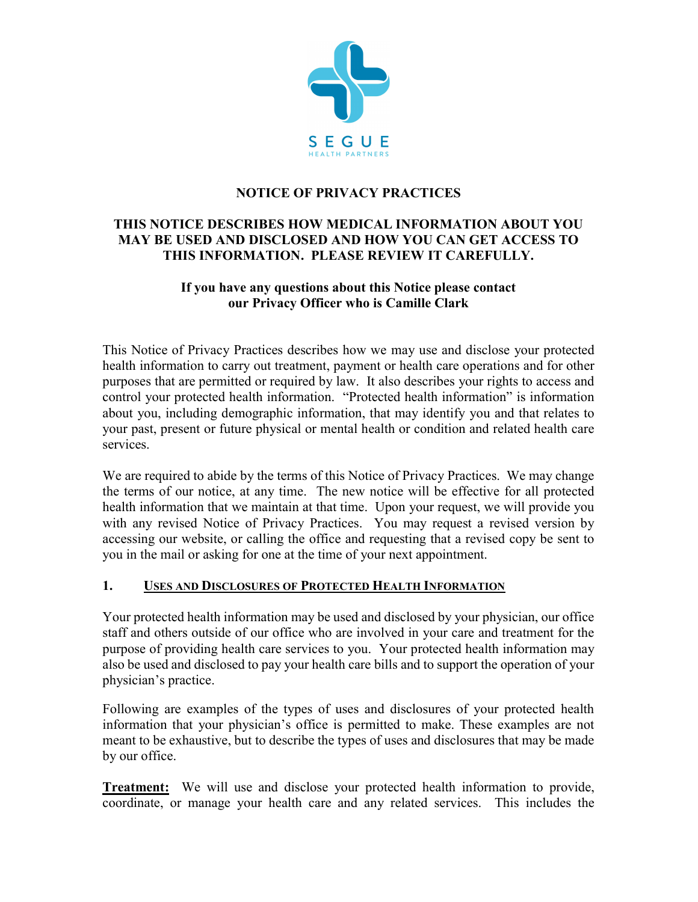

## NOTICE OF PRIVACY PRACTICES

## THIS NOTICE DESCRIBES HOW MEDICAL INFORMATION ABOUT YOU MAY BE USED AND DISCLOSED AND HOW YOU CAN GET ACCESS TO THIS INFORMATION. PLEASE REVIEW IT CAREFULLY.

# If you have any questions about this Notice please contact our Privacy Officer who is Camille Clark

This Notice of Privacy Practices describes how we may use and disclose your protected health information to carry out treatment, payment or health care operations and for other purposes that are permitted or required by law. It also describes your rights to access and control your protected health information. "Protected health information" is information about you, including demographic information, that may identify you and that relates to your past, present or future physical or mental health or condition and related health care services.

We are required to abide by the terms of this Notice of Privacy Practices. We may change the terms of our notice, at any time. The new notice will be effective for all protected health information that we maintain at that time. Upon your request, we will provide you with any revised Notice of Privacy Practices. You may request a revised version by accessing our website, or calling the office and requesting that a revised copy be sent to you in the mail or asking for one at the time of your next appointment.

## 1. USES AND DISCLOSURES OF PROTECTED HEALTH INFORMATION

Your protected health information may be used and disclosed by your physician, our office staff and others outside of our office who are involved in your care and treatment for the purpose of providing health care services to you. Your protected health information may also be used and disclosed to pay your health care bills and to support the operation of your physician's practice.

Following are examples of the types of uses and disclosures of your protected health information that your physician's office is permitted to make. These examples are not meant to be exhaustive, but to describe the types of uses and disclosures that may be made by our office.

**Treatment:** We will use and disclose your protected health information to provide, coordinate, or manage your health care and any related services. This includes the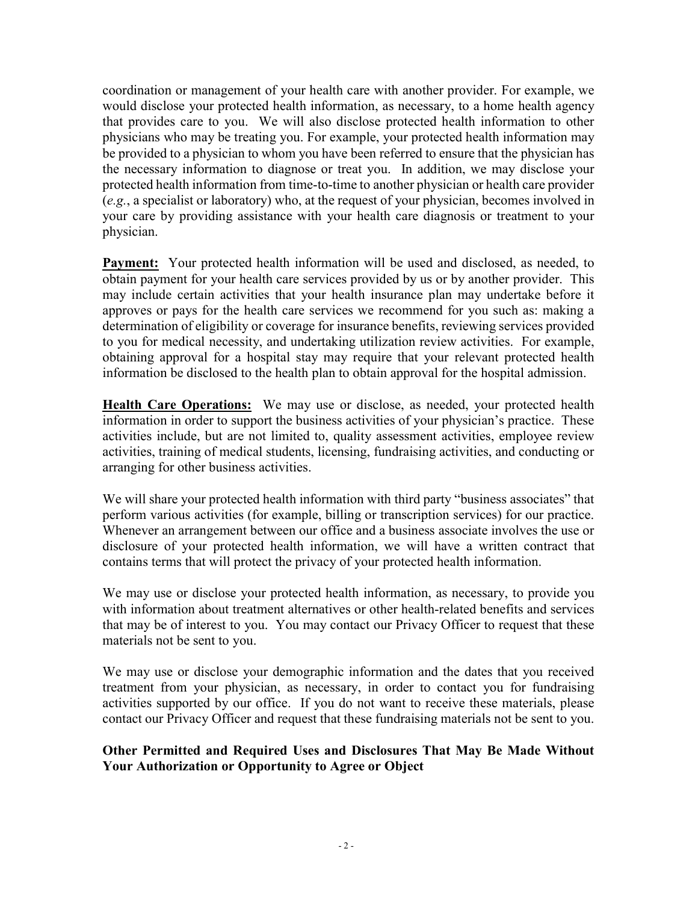coordination or management of your health care with another provider. For example, we would disclose your protected health information, as necessary, to a home health agency that provides care to you. We will also disclose protected health information to other physicians who may be treating you. For example, your protected health information may be provided to a physician to whom you have been referred to ensure that the physician has the necessary information to diagnose or treat you. In addition, we may disclose your protected health information from time-to-time to another physician or health care provider (e.g., a specialist or laboratory) who, at the request of your physician, becomes involved in your care by providing assistance with your health care diagnosis or treatment to your physician.

Payment: Your protected health information will be used and disclosed, as needed, to obtain payment for your health care services provided by us or by another provider. This may include certain activities that your health insurance plan may undertake before it approves or pays for the health care services we recommend for you such as: making a determination of eligibility or coverage for insurance benefits, reviewing services provided to you for medical necessity, and undertaking utilization review activities. For example, obtaining approval for a hospital stay may require that your relevant protected health information be disclosed to the health plan to obtain approval for the hospital admission.

Health Care Operations: We may use or disclose, as needed, your protected health information in order to support the business activities of your physician's practice. These activities include, but are not limited to, quality assessment activities, employee review activities, training of medical students, licensing, fundraising activities, and conducting or arranging for other business activities.

We will share your protected health information with third party "business associates" that perform various activities (for example, billing or transcription services) for our practice. Whenever an arrangement between our office and a business associate involves the use or disclosure of your protected health information, we will have a written contract that contains terms that will protect the privacy of your protected health information.

We may use or disclose your protected health information, as necessary, to provide you with information about treatment alternatives or other health-related benefits and services that may be of interest to you. You may contact our Privacy Officer to request that these materials not be sent to you.

We may use or disclose your demographic information and the dates that you received treatment from your physician, as necessary, in order to contact you for fundraising activities supported by our office. If you do not want to receive these materials, please contact our Privacy Officer and request that these fundraising materials not be sent to you.

#### Other Permitted and Required Uses and Disclosures That May Be Made Without Your Authorization or Opportunity to Agree or Object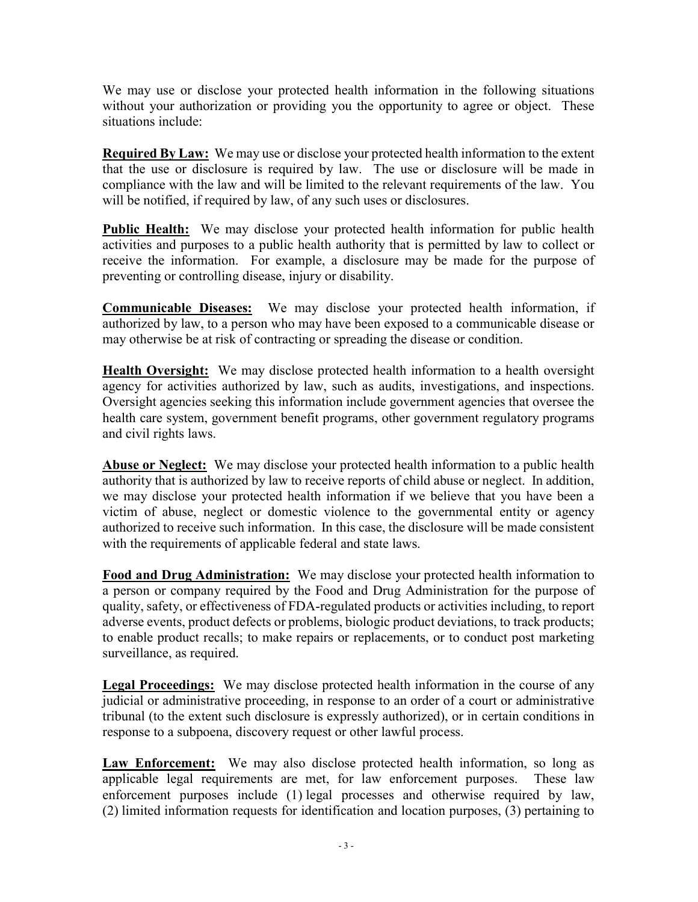We may use or disclose your protected health information in the following situations without your authorization or providing you the opportunity to agree or object. These situations include:

Required By Law: We may use or disclose your protected health information to the extent that the use or disclosure is required by law. The use or disclosure will be made in compliance with the law and will be limited to the relevant requirements of the law. You will be notified, if required by law, of any such uses or disclosures.

Public Health: We may disclose your protected health information for public health activities and purposes to a public health authority that is permitted by law to collect or receive the information. For example, a disclosure may be made for the purpose of preventing or controlling disease, injury or disability.

Communicable Diseases: We may disclose your protected health information, if authorized by law, to a person who may have been exposed to a communicable disease or may otherwise be at risk of contracting or spreading the disease or condition.

Health Oversight: We may disclose protected health information to a health oversight agency for activities authorized by law, such as audits, investigations, and inspections. Oversight agencies seeking this information include government agencies that oversee the health care system, government benefit programs, other government regulatory programs and civil rights laws.

Abuse or Neglect: We may disclose your protected health information to a public health authority that is authorized by law to receive reports of child abuse or neglect. In addition, we may disclose your protected health information if we believe that you have been a victim of abuse, neglect or domestic violence to the governmental entity or agency authorized to receive such information. In this case, the disclosure will be made consistent with the requirements of applicable federal and state laws.

Food and Drug Administration: We may disclose your protected health information to a person or company required by the Food and Drug Administration for the purpose of quality, safety, or effectiveness of FDA-regulated products or activities including, to report adverse events, product defects or problems, biologic product deviations, to track products; to enable product recalls; to make repairs or replacements, or to conduct post marketing surveillance, as required.

Legal Proceedings: We may disclose protected health information in the course of any judicial or administrative proceeding, in response to an order of a court or administrative tribunal (to the extent such disclosure is expressly authorized), or in certain conditions in response to a subpoena, discovery request or other lawful process.

Law Enforcement: We may also disclose protected health information, so long as applicable legal requirements are met, for law enforcement purposes. These law enforcement purposes include (1) legal processes and otherwise required by law, (2) limited information requests for identification and location purposes, (3) pertaining to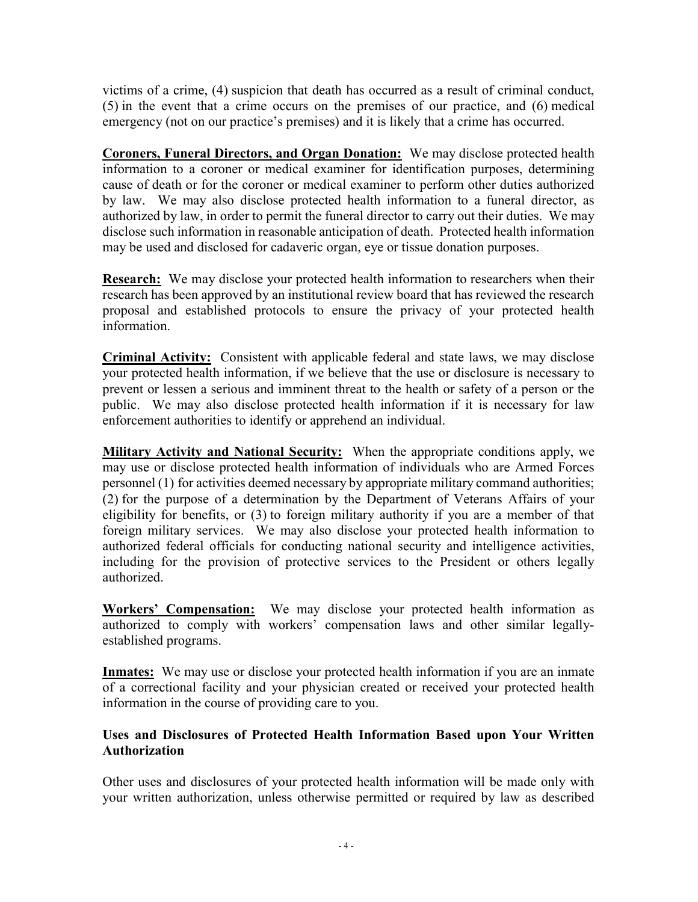victims of a crime, (4) suspicion that death has occurred as a result of criminal conduct, (5) in the event that a crime occurs on the premises of our practice, and (6) medical emergency (not on our practice's premises) and it is likely that a crime has occurred.

Coroners, Funeral Directors, and Organ Donation: We may disclose protected health information to a coroner or medical examiner for identification purposes, determining cause of death or for the coroner or medical examiner to perform other duties authorized by law. We may also disclose protected health information to a funeral director, as authorized by law, in order to permit the funeral director to carry out their duties. We may disclose such information in reasonable anticipation of death. Protected health information may be used and disclosed for cadaveric organ, eye or tissue donation purposes.

Research: We may disclose your protected health information to researchers when their research has been approved by an institutional review board that has reviewed the research proposal and established protocols to ensure the privacy of your protected health information.

Criminal Activity: Consistent with applicable federal and state laws, we may disclose your protected health information, if we believe that the use or disclosure is necessary to prevent or lessen a serious and imminent threat to the health or safety of a person or the public. We may also disclose protected health information if it is necessary for law enforcement authorities to identify or apprehend an individual.

**Military Activity and National Security:** When the appropriate conditions apply, we may use or disclose protected health information of individuals who are Armed Forces personnel (1) for activities deemed necessary by appropriate military command authorities; (2) for the purpose of a determination by the Department of Veterans Affairs of your eligibility for benefits, or (3) to foreign military authority if you are a member of that foreign military services. We may also disclose your protected health information to authorized federal officials for conducting national security and intelligence activities, including for the provision of protective services to the President or others legally authorized.

Workers' Compensation: We may disclose your protected health information as authorized to comply with workers' compensation laws and other similar legallyestablished programs.

Inmates: We may use or disclose your protected health information if you are an inmate of a correctional facility and your physician created or received your protected health information in the course of providing care to you.

## Uses and Disclosures of Protected Health Information Based upon Your Written Authorization

Other uses and disclosures of your protected health information will be made only with your written authorization, unless otherwise permitted or required by law as described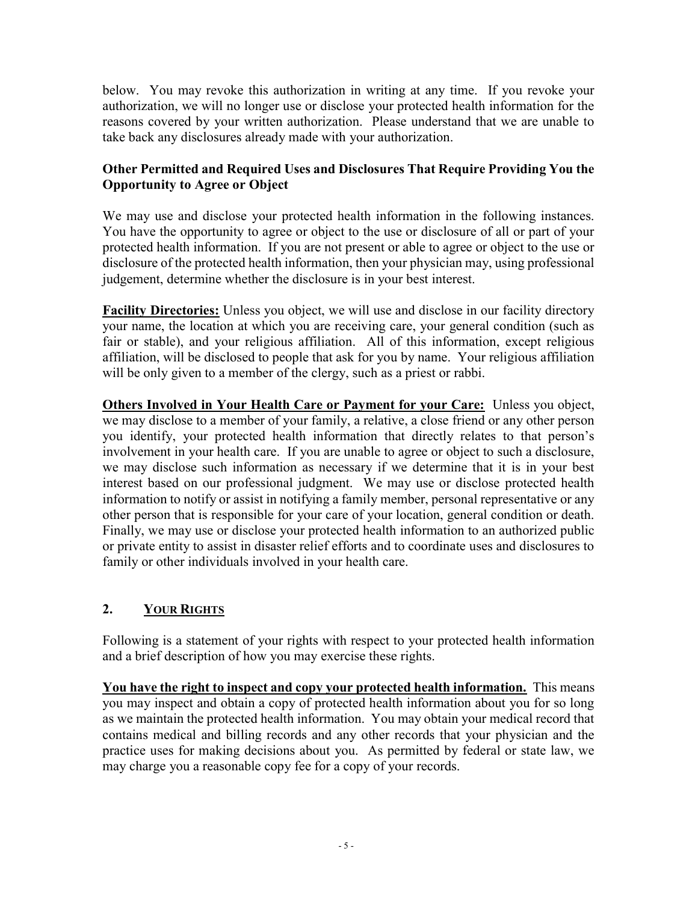below. You may revoke this authorization in writing at any time. If you revoke your authorization, we will no longer use or disclose your protected health information for the reasons covered by your written authorization. Please understand that we are unable to take back any disclosures already made with your authorization.

## Other Permitted and Required Uses and Disclosures That Require Providing You the Opportunity to Agree or Object

We may use and disclose your protected health information in the following instances. You have the opportunity to agree or object to the use or disclosure of all or part of your protected health information. If you are not present or able to agree or object to the use or disclosure of the protected health information, then your physician may, using professional judgement, determine whether the disclosure is in your best interest.

Facility Directories: Unless you object, we will use and disclose in our facility directory your name, the location at which you are receiving care, your general condition (such as fair or stable), and your religious affiliation. All of this information, except religious affiliation, will be disclosed to people that ask for you by name. Your religious affiliation will be only given to a member of the clergy, such as a priest or rabbi.

Others Involved in Your Health Care or Payment for your Care: Unless you object, we may disclose to a member of your family, a relative, a close friend or any other person you identify, your protected health information that directly relates to that person's involvement in your health care. If you are unable to agree or object to such a disclosure, we may disclose such information as necessary if we determine that it is in your best interest based on our professional judgment. We may use or disclose protected health information to notify or assist in notifying a family member, personal representative or any other person that is responsible for your care of your location, general condition or death. Finally, we may use or disclose your protected health information to an authorized public or private entity to assist in disaster relief efforts and to coordinate uses and disclosures to family or other individuals involved in your health care.

# 2. YOUR RIGHTS

Following is a statement of your rights with respect to your protected health information and a brief description of how you may exercise these rights.

You have the right to inspect and copy your protected health information. This means you may inspect and obtain a copy of protected health information about you for so long as we maintain the protected health information. You may obtain your medical record that contains medical and billing records and any other records that your physician and the practice uses for making decisions about you. As permitted by federal or state law, we may charge you a reasonable copy fee for a copy of your records.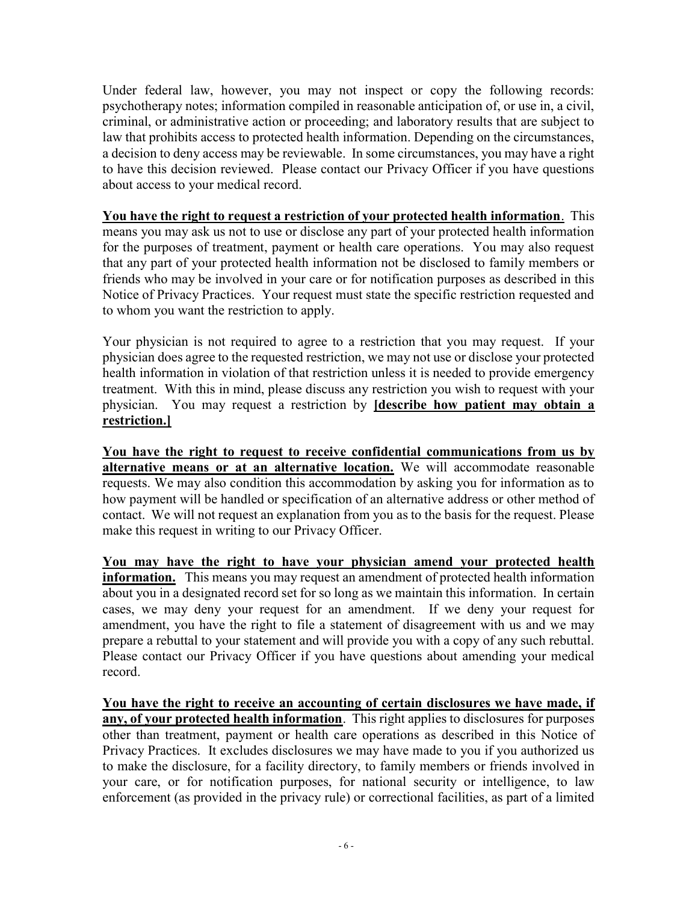Under federal law, however, you may not inspect or copy the following records: psychotherapy notes; information compiled in reasonable anticipation of, or use in, a civil, criminal, or administrative action or proceeding; and laboratory results that are subject to law that prohibits access to protected health information. Depending on the circumstances, a decision to deny access may be reviewable. In some circumstances, you may have a right to have this decision reviewed. Please contact our Privacy Officer if you have questions about access to your medical record.

You have the right to request a restriction of your protected health information. This means you may ask us not to use or disclose any part of your protected health information for the purposes of treatment, payment or health care operations. You may also request that any part of your protected health information not be disclosed to family members or friends who may be involved in your care or for notification purposes as described in this Notice of Privacy Practices. Your request must state the specific restriction requested and to whom you want the restriction to apply.

Your physician is not required to agree to a restriction that you may request. If your physician does agree to the requested restriction, we may not use or disclose your protected health information in violation of that restriction unless it is needed to provide emergency treatment. With this in mind, please discuss any restriction you wish to request with your physician. You may request a restriction by [describe how patient may obtain a restriction.]

You have the right to request to receive confidential communications from us by alternative means or at an alternative location. We will accommodate reasonable requests. We may also condition this accommodation by asking you for information as to how payment will be handled or specification of an alternative address or other method of contact. We will not request an explanation from you as to the basis for the request. Please make this request in writing to our Privacy Officer.

You may have the right to have your physician amend your protected health information. This means you may request an amendment of protected health information about you in a designated record set for so long as we maintain this information. In certain cases, we may deny your request for an amendment. If we deny your request for amendment, you have the right to file a statement of disagreement with us and we may prepare a rebuttal to your statement and will provide you with a copy of any such rebuttal. Please contact our Privacy Officer if you have questions about amending your medical record.

You have the right to receive an accounting of certain disclosures we have made, if any, of your protected health information. This right applies to disclosures for purposes other than treatment, payment or health care operations as described in this Notice of Privacy Practices. It excludes disclosures we may have made to you if you authorized us to make the disclosure, for a facility directory, to family members or friends involved in your care, or for notification purposes, for national security or intelligence, to law enforcement (as provided in the privacy rule) or correctional facilities, as part of a limited